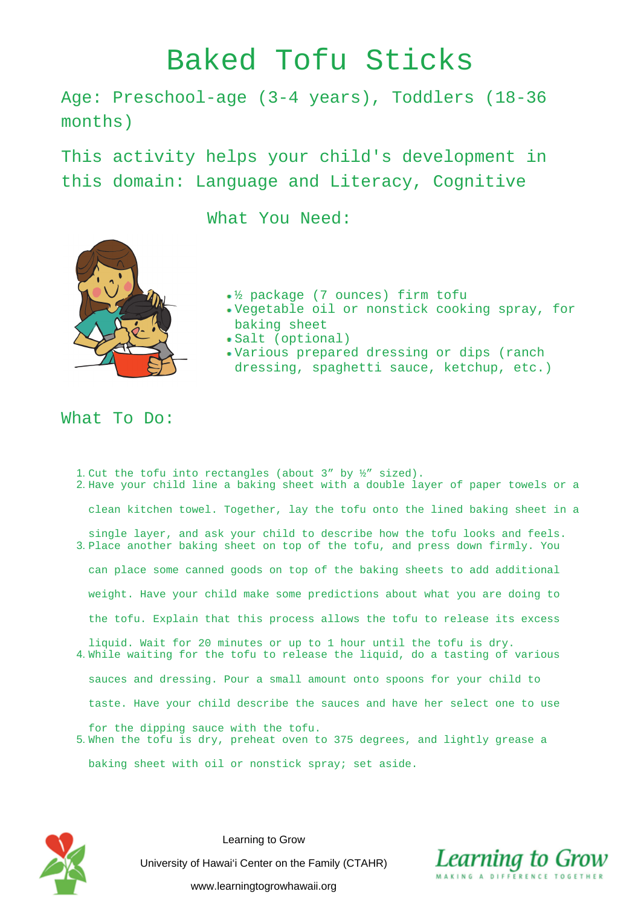## Baked Tofu Sticks

Age: Preschool-age (3-4 years), Toddlers (18-36 months)

This activity helps your child's development in this domain: Language and Literacy, Cognitive

What You Need:

- ½ package (7 ounces) firm tofu
- Vegetable oil or nonstick cooking spray, for baking sheet
- Salt (optional)
- Various prepared dressing or dips (ranch dressing, spaghetti sauce, ketchup, etc.)

## What To Do:

- 1. Cut the tofu into rectangles (about  $3''$  by  $\frac{1}{2}''$  sized). 2. Have your child line a baking sheet with a double layer of paper towels or a clean kitchen towel. Together, lay the tofu onto the lined baking sheet in a single layer, and ask your child to describe how the tofu looks and feels. 3. Place another baking sheet on top of the tofu, and press down firmly. You can place some canned goods on top of the baking sheets to add additional weight. Have your child make some predictions about what you are doing to the tofu. Explain that this process allows the tofu to release its excess liquid. Wait for 20 minutes or up to 1 hour until the tofu is dry. 4. While waiting for the tofu to release the liquid, do a tasting of various sauces and dressing. Pour a small amount onto spoons for your child to taste. Have your child describe the sauces and have her select one to use
- for the dipping sauce with the tofu. 5. When the tofu is dry, preheat oven to 375 degrees, and lightly grease a

baking sheet with oil or nonstick spray; set aside.



Learning to Grow University of Hawai'i Center on the Family (CTAHR) www.learningtogrowhawaii.org